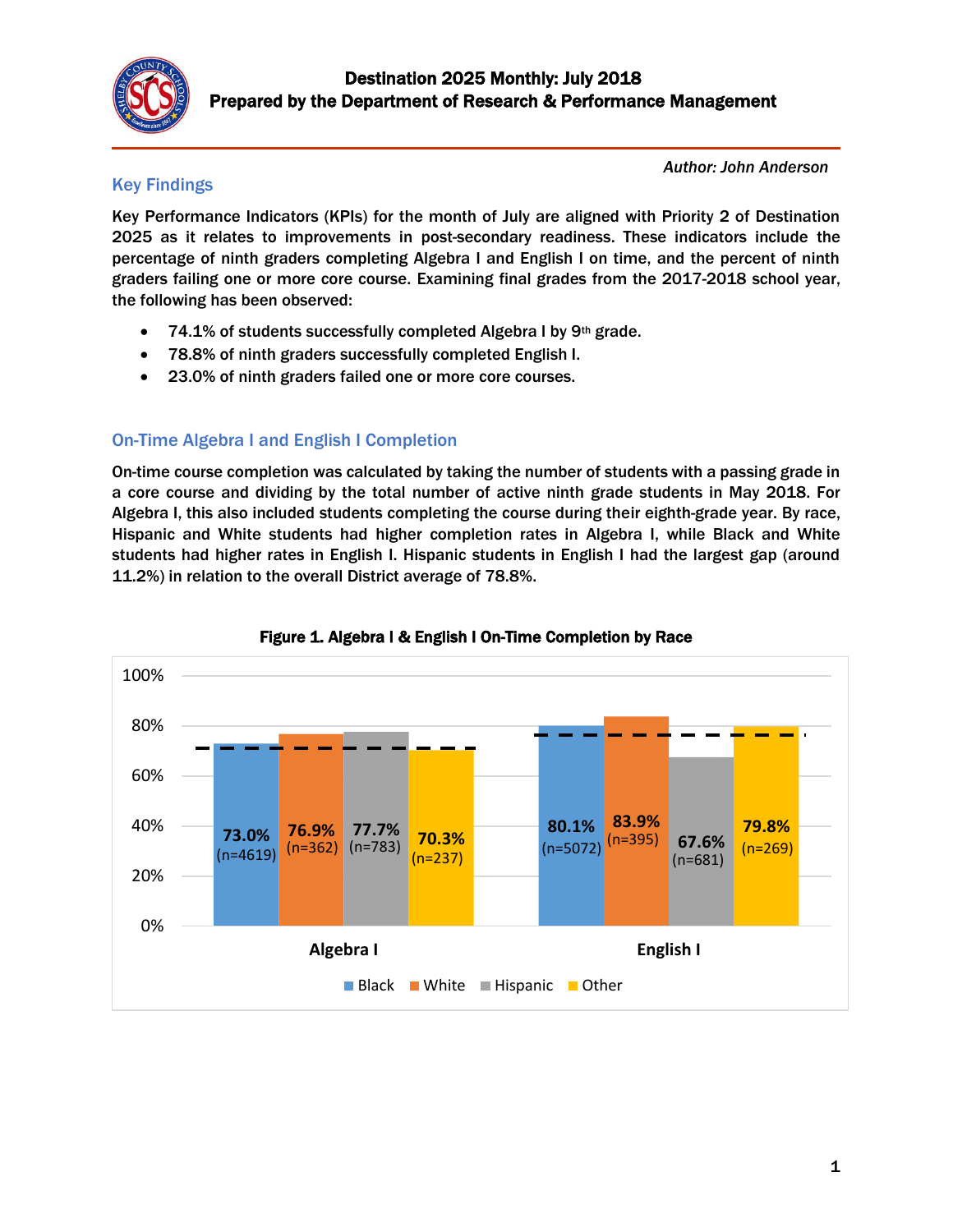

### Key Findings

*Author: John Anderson* 

Key Performance Indicators (KPIs) for the month of July are aligned with Priority 2 of Destination 2025 as it relates to improvements in post-secondary readiness. These indicators include the percentage of ninth graders completing Algebra I and English I on time, and the percent of ninth graders failing one or more core course. Examining final grades from the 2017-2018 school year, the following has been observed:

- 74.1% of students successfully completed Algebra I by 9th grade.
- 78.8% of ninth graders successfully completed English I.
- 23.0% of ninth graders failed one or more core courses.

## On-Time Algebra I and English I Completion

On-time course completion was calculated by taking the number of students with a passing grade in a core course and dividing by the total number of active ninth grade students in May 2018. For Algebra I, this also included students completing the course during their eighth-grade year. By race, Hispanic and White students had higher completion rates in Algebra I, while Black and White students had higher rates in English I. Hispanic students in English I had the largest gap (around 11.2%) in relation to the overall District average of 78.8%.



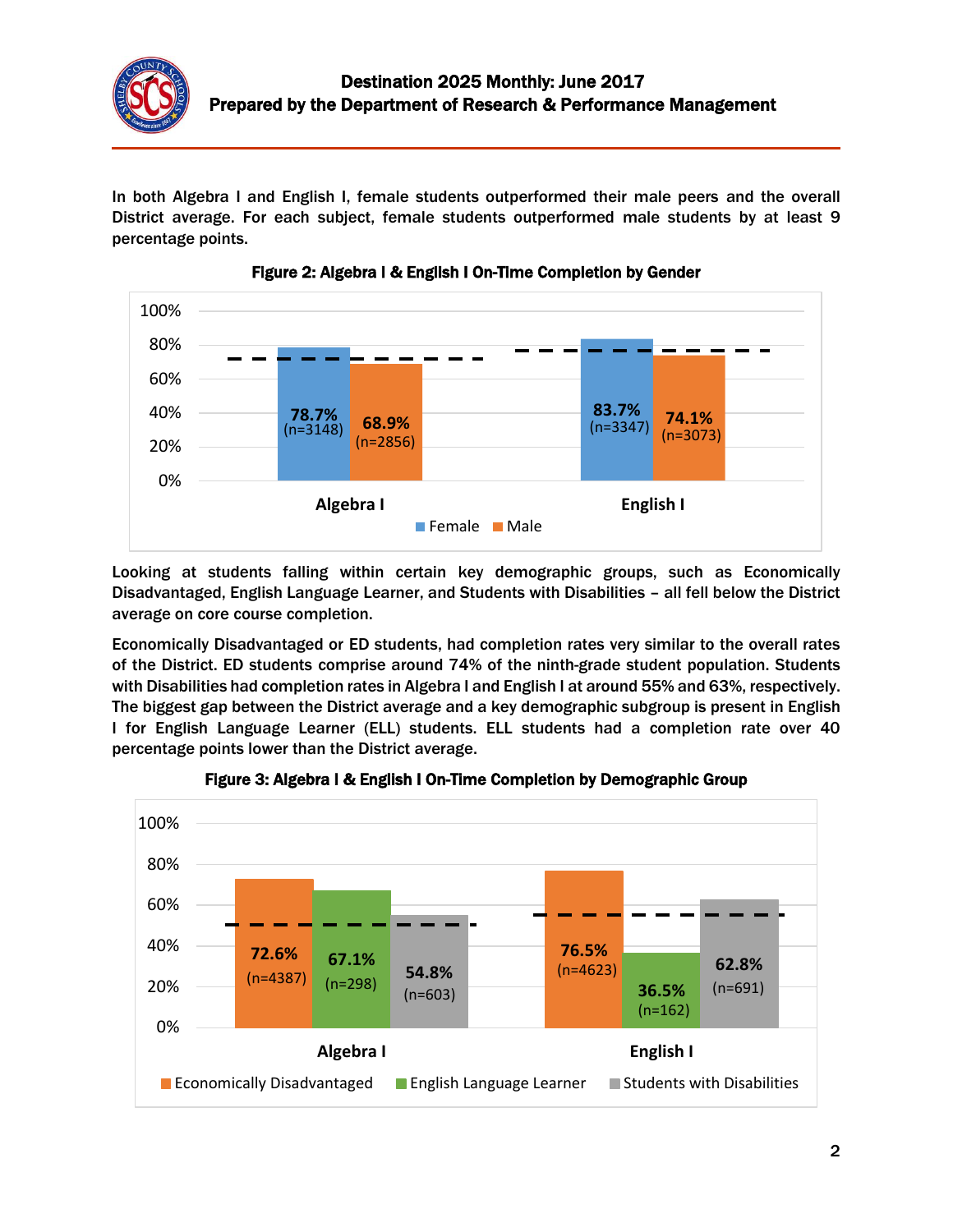

In both Algebra I and English I, female students outperformed their male peers and the overall District average. For each subject, female students outperformed male students by at least 9 percentage points.





Looking at students falling within certain key demographic groups, such as Economically Disadvantaged, English Language Learner, and Students with Disabilities – all fell below the District average on core course completion.

Economically Disadvantaged or ED students, had completion rates very similar to the overall rates of the District. ED students comprise around 74% of the ninth-grade student population. Students with Disabilities had completion rates in Algebra I and English I at around 55% and 63%, respectively. The biggest gap between the District average and a key demographic subgroup is present in English I for English Language Learner (ELL) students. ELL students had a completion rate over 40 percentage points lower than the District average.



Figure 3: Algebra I & English I On-Time Completion by Demographic Group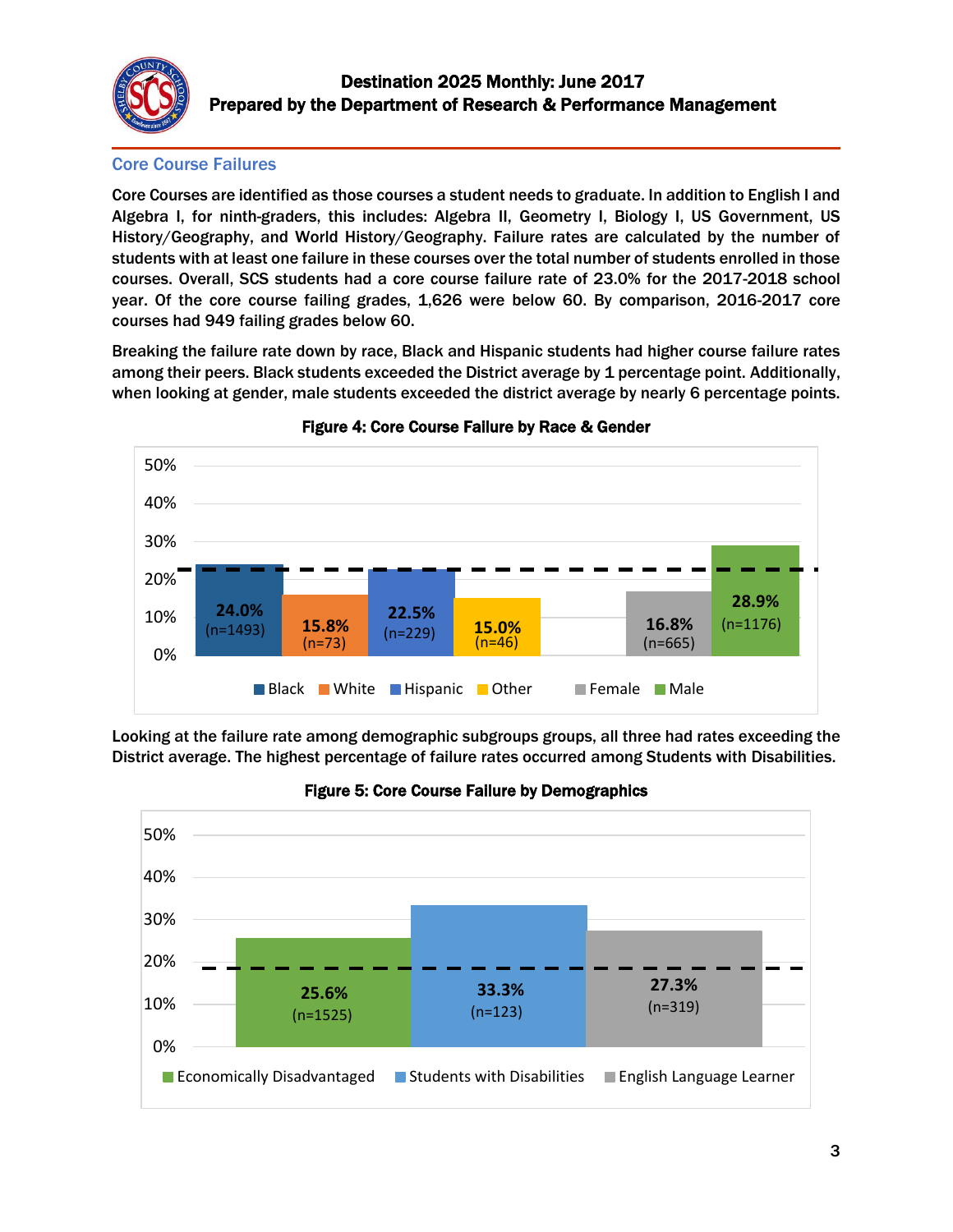

#### Core Course Failures

Core Courses are identified as those courses a student needs to graduate. In addition to English I and Algebra I, for ninth-graders, this includes: Algebra II, Geometry I, Biology I, US Government, US History/Geography, and World History/Geography. Failure rates are calculated by the number of students with at least one failure in these courses over the total number of students enrolled in those courses. Overall, SCS students had a core course failure rate of 23.0% for the 2017-2018 school year. Of the core course failing grades, 1,626 were below 60. By comparison, 2016-2017 core courses had 949 failing grades below 60.

Breaking the failure rate down by race, Black and Hispanic students had higher course failure rates among their peers. Black students exceeded the District average by 1 percentage point. Additionally, when looking at gender, male students exceeded the district average by nearly 6 percentage points.



Figure 4: Core Course Failure by Race & Gender

Looking at the failure rate among demographic subgroups groups, all three had rates exceeding the District average. The highest percentage of failure rates occurred among Students with Disabilities.



#### Figure 5: Core Course Failure by Demographics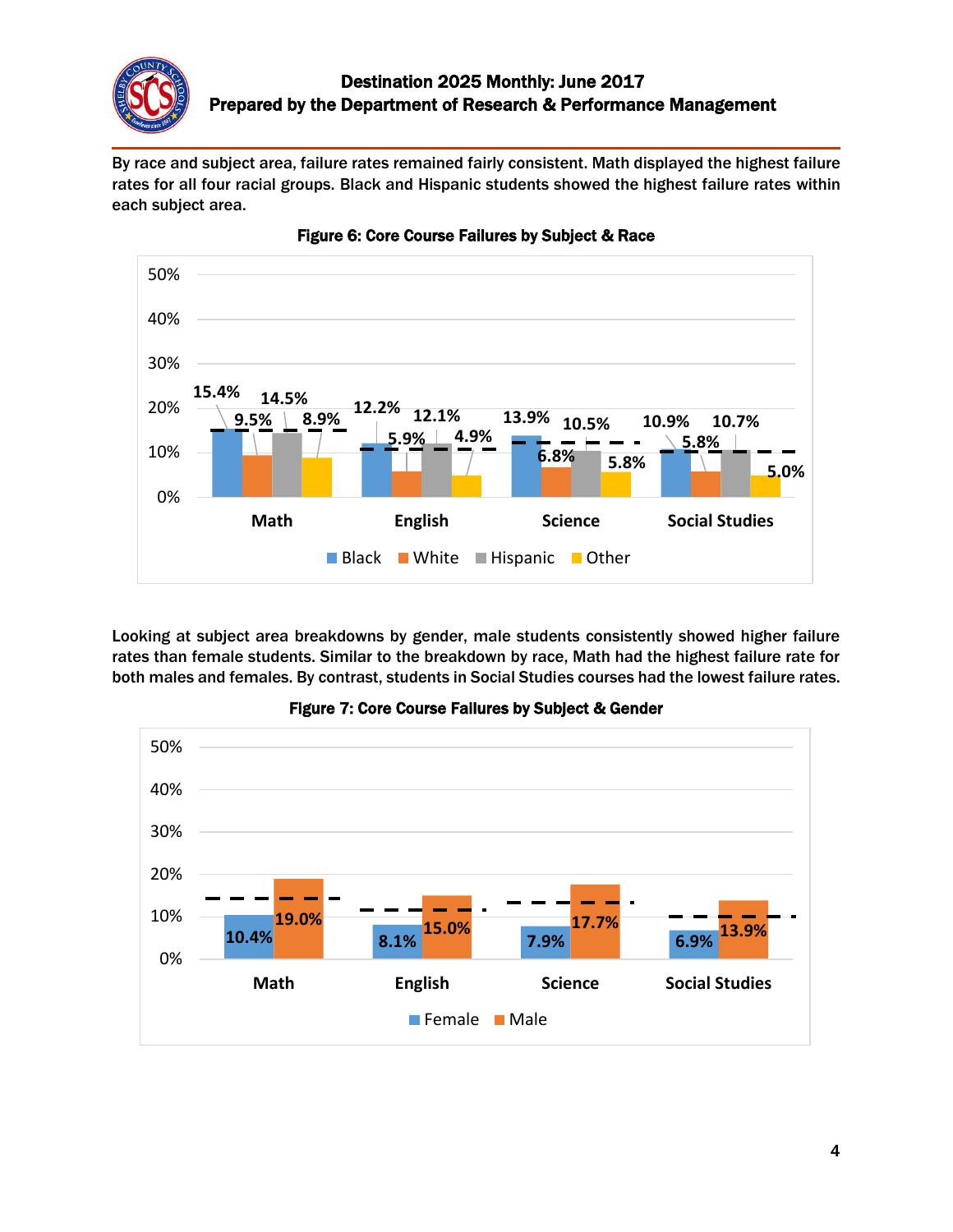

By race and subject area, failure rates remained fairly consistent. Math displayed the highest failure rates for all four racial groups. Black and Hispanic students showed the highest failure rates within each subject area.



Figure 6: Core Course Failures by Subject & Race

Looking at subject area breakdowns by gender, male students consistently showed higher failure rates than female students. Similar to the breakdown by race, Math had the highest failure rate for both males and females. By contrast, students in Social Studies courses had the lowest failure rates.



Figure 7: Core Course Failures by Subject & Gender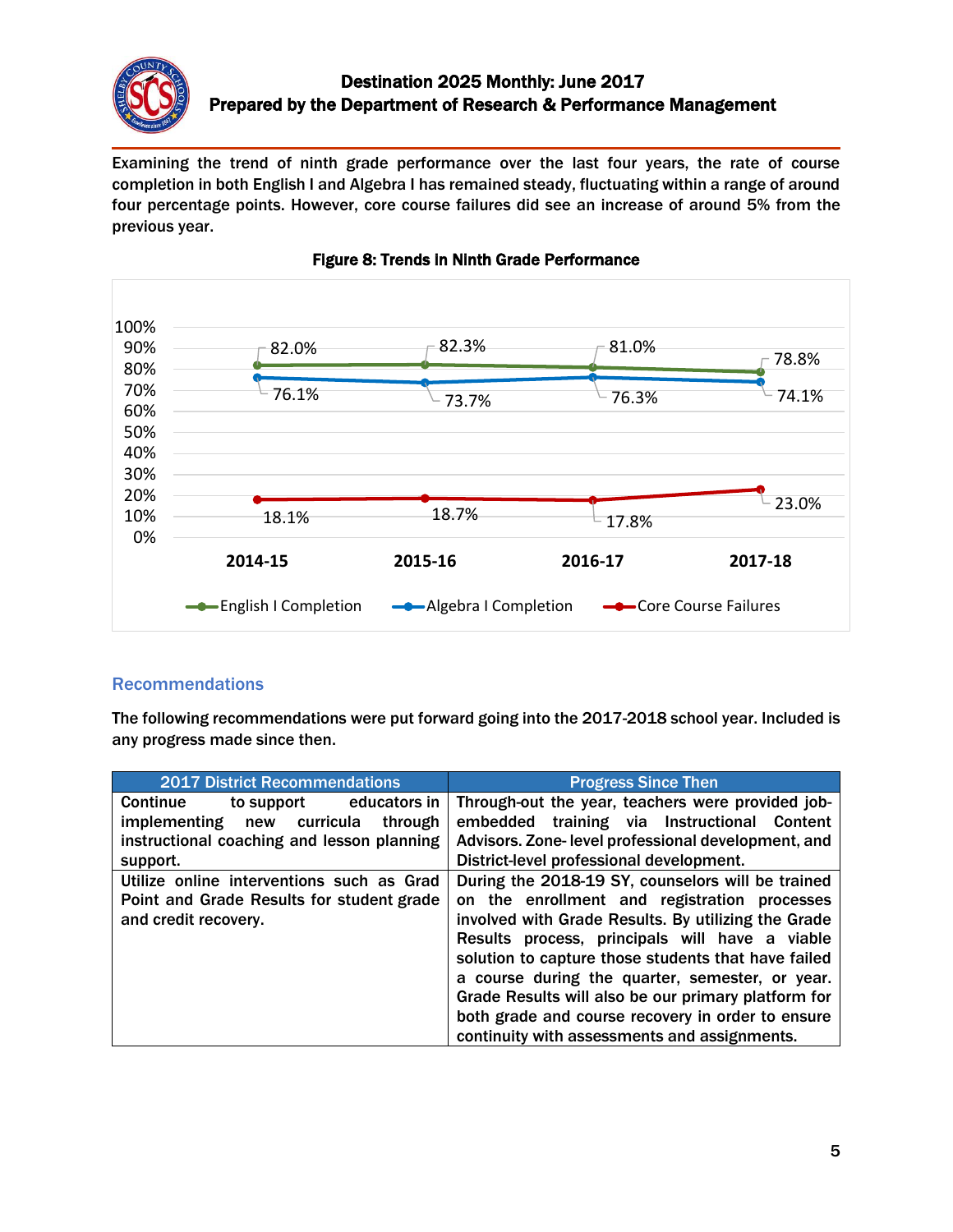

### Destination 2025 Monthly: June 2017 Prepared by the Department of Research & Performance Management

Examining the trend of ninth grade performance over the last four years, the rate of course completion in both English I and Algebra I has remained steady, fluctuating within a range of around four percentage points. However, core course failures did see an increase of around 5% from the previous year.



#### Figure 8: Trends in Ninth Grade Performance

#### Recommendations

The following recommendations were put forward going into the 2017-2018 school year. Included is any progress made since then.

| <b>2017 District Recommendations</b>               | <b>Progress Since Then</b>                            |
|----------------------------------------------------|-------------------------------------------------------|
| <b>Continue</b><br>to support educators in         | Through-out the year, teachers were provided job-     |
| curricula<br><i>implementing</i><br>through<br>new | embedded training via Instructional<br><b>Content</b> |
| instructional coaching and lesson planning         | Advisors. Zone-level professional development, and    |
| support.                                           | District-level professional development.              |
| Utilize online interventions such as Grad          | During the 2018-19 SY, counselors will be trained     |
| Point and Grade Results for student grade          | on the enrollment and registration processes          |
| and credit recovery.                               | involved with Grade Results. By utilizing the Grade   |
|                                                    | Results process, principals will have a viable        |
|                                                    | solution to capture those students that have failed   |
|                                                    | a course during the quarter, semester, or year.       |
|                                                    | Grade Results will also be our primary platform for   |
|                                                    | both grade and course recovery in order to ensure     |
|                                                    | continuity with assessments and assignments.          |